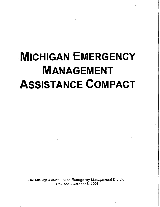# **MICHIGAN EMERGENCY MANAGEMENT ASSISTANCE COMPACT**

The Michigan State Police Emergency Management Division Revised - October 8, 2004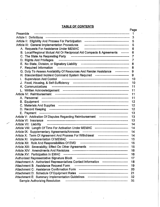# **TABLE OF CONTENTS**

| Preamble                                                                                                                    | 1              |
|-----------------------------------------------------------------------------------------------------------------------------|----------------|
|                                                                                                                             | 3              |
|                                                                                                                             | 5              |
| Article III: General Implementation Procedures <b>Forman Construct Contract Construction</b>                                | 5              |
| A. Requests For Assistance Under MEMAC For Access Content Content Contract Control Contract Control Control Co              | 6              |
| B. Local/Regional Mutual Aid Or Reciprocal Aid Compacts & Agreements --------                                               | 6              |
| C. The State As Requesting Party Facebook Contract Contract Contract Contract Contract Contract Contract Contr              | $\overline{7}$ |
| D. Rights And Privileges <b>Construct Contract Construct Construct Construct Construct Construct Construct Construction</b> | 7              |
|                                                                                                                             | - 8            |
|                                                                                                                             |                |
| G. Duty To Assess Availability Of Resources And Render Assistance Formational and                                           | - 9            |
| H. Standardized Incident Command System Required --------------------------------                                           | 9              |
| Ł.                                                                                                                          | 10             |
|                                                                                                                             | 10             |
|                                                                                                                             | 11             |
|                                                                                                                             | 11             |
|                                                                                                                             | 11             |
|                                                                                                                             | 11             |
|                                                                                                                             | 12             |
|                                                                                                                             | 12             |
|                                                                                                                             | 12             |
|                                                                                                                             | 13             |
| Article V: Arbitration Of Disputes Regarding Reimbursement ----------------------------                                     | 13             |
|                                                                                                                             | 13             |
|                                                                                                                             | 14             |
| Article VIII: Length Of Time For Activation Under MEMAC -------------------------------- 14                                 |                |
|                                                                                                                             | 14             |
| Article X: Term Of Agreement And Process For Withdrawal ------------------------------                                      | 14             |
|                                                                                                                             | 15             |
|                                                                                                                             |                |
|                                                                                                                             | 15             |
|                                                                                                                             | 16             |
| Article XV: Participation In EMAC                                                                                           | 16             |
| Authorized Representative Signature Block Formational Continuing Continuing Contractor                                      | 17             |
| Attachment A: Authorized Representatives Contact Information -------------------------                                      | 18             |
| Attachment B: Assistance Request Form                                                                                       | 19             |
| Attachment C: Assistance Confirmation Form                                                                                  | 20             |
|                                                                                                                             | 21             |
|                                                                                                                             | 32             |
| <b>Sample Authorizing Resolution</b>                                                                                        | 35             |

Page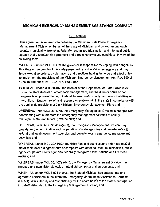# **MICHIGAN EMERGENCY MANAGEMENT ASSISTANCE COMPACT**

# PREAMBLE

This agreement is entered into between the Michigan State Police Emergency Management Division on behalf of the State of Michigan, and by and among each county, municipality, township, federally recognized tribal nation and interlocal public agency that executes this agreement and adopts its terms and conditions, in view of the following facts:

WHEREAS, under MCL 30.403, the governor is responsible for coping with dangers to this state or the people of this state presented by a disaster or emergency and may issue executive orders, proclamations and directives having the force and effect of law to implement the provisions of the Michigan Emergency Management Act (P.A. 390 of 1976 as amended; MCL 30.401 et seq.); and

WHEREAS, under MCL 30.407, the director of the Department of State Police is ex officio the state director of emergency management, and the director or his or her designee is empowered to coordinate all federal, state, county, and municipal disaster prevention, mitigation, relief, and recovery operations within the state in compliance with the applicable provisions of the Michigan Emergency Management Plan; and

WHEREAS, under MCL 30.407a, the Emergency Management Division is charged with coordinating within this state the emergency management activities of county, municipal, state, and federal governments; and

WHEREAS, under MCL 30.407a(4)(h), the Emergency Management Division may provide for the coordination and cooperation of state agencies and departments with federal and local government agencies and departments in emergency management activities; and

WHEREAS, under MCL 30.410(2}, municipalities and counties may enter into mutual aid or reciprocal aid agreements or compacts with other counties, municipalities, public agencies, private sector agencies, federally recognized tribal nations or all of these entities; and

WHEREAS, under MCL 30. 407a (4) (j), the Emergency Management Division may propose and administer statewide mutual aid compacts and agreements; and

WHEREAS, under MCL 3.991 *et seq.,* the State of Michigan has entered into and agreed to participate in the interstate Emergency Management Assistance Compact (EMAC), with authority and responsibility for the coordination of the state's participation in EMAC delegated to the Emergency Management Division; and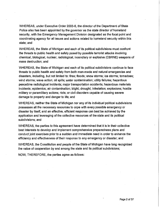WHEREAS, under Executive Order 2003-6, the director of the Department of State Police also has been appointed by the governor as the state director of homeland security, with the Emergency Management Division designated as the focal point and coordinating agency for all issues and actions related to homeland security within this state; and

WHEREAS, the State of Michigan and each of its political subdivisions must confront the threats to public health and safety posed by possible terrorist attacks involving chemical, biological, nuclear, radiological, incendiary or explosive (CBRNE) weapons of mass destruction; and

WHEREAS, the State of Michigan and each of its political subdivisions continue to face threats to public health and safety from both man-made and natural emergencies and disasters, including, but not limited to: fires; floods; snow storms; ice storms; tornadoes; wind storms; wave action; oil spills; water contamination; utility failures; hazardous peacetime radiological incidents; major transportation accidents; hazardous materials incidents; epidemics; air contamination; blight; drought; infestation; explosions: hostile military or paramilitary actions; riots; or civil disorders capable of causing severe damage to property and danger to life; and

WHEREAS, neither the State of Michigan nor any of its individual political subdivisions possesses all the necessary resources to cope with every possible emergency or disaster by itself, and an effective, efficient response can best be achieved by the application and leveraging of the collective resources of the state and its political subdivisions; and

WHEREAS, the parties to this agreement have determined that it is in their collective best interests to develop and implement comprehensive preparedness plans and conduct joint exercises prior to a sudden and immediate need in order to enhance the efficiency and effectiveness of their response to any emergency or disaster; and

WHEREAS, the Constitution and people of the State of Michigan have long recognized the value of cooperation by and among the state and its political subdivisions;

NOW, THEREFORE, the parties agree as follows: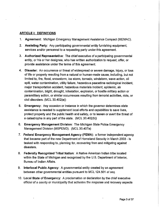#### ARTICLE 1: DEFINITIONS

- 1. Agreement: Michigan Emergency Management Assistance Compact (MEMAC).
- 2. Assisting Party: Any participating governmental entity furnishing equipment, services and/or personnel to a requesting party under this agreement.
- 3. Authorized Representative: The chief executive of a participating governmental entity, or his or her designee, who has written authorization to request, offer, or provide assistance under the terms of this agreement.
- 4. Disaster: An occurrence or threat of widespread or severe damage, injury, or loss of life or property resulting from a natural or human-made cause, including, but not limited to, fire, flood, snowstorm, ice storm, tornado, windstorm, wave action, oil spill, water contamination, utility failure, hazardous peacetime radiological incident, major transportation accident, hazardous materials incident, epidemic, air contamination, blight, drought, infestation, explosion, or hostile military action or paramilitary action, or similar occurrences resulting from terrorist activities, riots, or civil disorders. (MCL 30.402(e))
- 5. Emergency: Any occasion or instance in which the governor determines state assistance is needed to supplement local efforts and capabilities to save lives, protect property and the public health and safety, or to lessen or avert the threat of a catastrophe in any part of the state. (MCL 30.402(h))
- 6. Emergency Management Division: The Michigan State Police Emergency Management Division (MSPEMD). (MCL 30.407a)
- 7. Federal Emergency Management Agency (FEMA): a former independent agency that became part of the new Department of Homeland Security in March 2003 - is tasked with responding to, planning for, recovering from and mitigating against disasters.
- 8. Federally Recognized Tribal Nation: A Native American Indian tribe located within the State of Michigan and recognized by the U.S. Department of Interior, Bureau of Indian Affairs.
- 9. lnterlocal Public Agency: A governmental entity created by an agreement between other governmental entities pursuant to MCL 124.501 et seq.
- 10. Local State of Emergency: A proclamation or declaration by the chief executive official of a county or municipality that activates the response and recovery aspects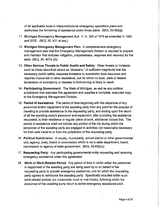of all applicable local or interjurisdictional emergency operations plans and authorizes the furnishing of assistance under those plans. (MCL 30.402(j))

- 11. Michigan Emergency Management Act: P. A 390 of 1976 as amended in 1990 and 2002. (MCL 30. 401 et seq.)
- 12. Michigan Emergency Management Plan: A comprehensive emergency management plan that the Emergency Management Division is required to prepare and maintain that includes mitigation, preparedness, response and recovery for the state. (MCL 30. 407a (2))
- 13. Other Serious Threats to Public Health and Safety: Other threats or incidents such as those described above as "disasters," of sufficient magnitude that the necessary public safety response threatens to overwhelm local resources and requires mutual aid or other assistance, but for which no local, state or federal declaration of emergency or disaster is forthcoming or likely to result.
- 14. Participating Government: The State of Michigan, as well as any political subdivision that executes this agreement and supplies a complete, executed copy to the Emergency Management Division.
- 15. Period of Assistance: The period of time beginning with the departure of any personnel and/or equipment of the assisting party from any point for the purpose of traveling to provide assistance to the requesting party, and ending upon the return of all the assisting party's personnel and equipment, after providing the assistance requested, to their residence or regular place of work, whichever occurs first. The period of assistance shall not include any portion of the trip during which the personnel of the assisting party are engaged in activities not reasonably necessary for their safe travel to or from the jurisdiction of the requesting party.
- 16. Political Subdivision: A county, municipality, school district or other governmental unit, agency, body, board or commission which is not a state department, board, commission or agency of state government. (MCL 30.402(n))
- 17. Requesting Party: Any participating governmental entity requesting and receiving emergency assistance under this agreement.
- 18. Work or Work-Related Period: Any period of time in which either the personnel or equipment of the assisting party are being used by or on behalf of the requesting party to provide emergency assistance, and for which the requesting party agrees to reimburse the assisting party. Specifically included within such work-related periods are reasonable meal or rest breaks, following which the personnel of the assisting party return to active emergency assistance work.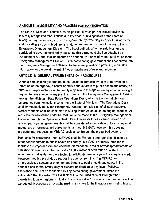# **ARTICLE II: ELIGIBILITY AND PROCESS FOR PARTICIPATION**

The State of Michigan, counties, municipalities, townships, political subdivisions, federally recognized tribal nations and interlocal public agencies of the State of Michigan may become a party to this agreement by executing a copy of this agreement and providing a copy with original signatures and authorizing resolution(s) to the Emergency Management Division. The list of authorized representatives for each participating governmental entity executing this agreement shall be attached as "Attachment A", and shall be updated as needed by means of written notification to the Emergency Management Division. Each participating government shall cooperate with the Emergency Management Division to the extent possible in providing requested information for the development of files or databases of relevant resources.

#### **ARTICLE** Ill: **GENERAL IMPLEMENTATION PROCEDURES**

When a participating government either becomes affected by, or is under imminent threat of, an emergency, disaster or other serious threat to public health and safety, an authorized representative of that entity may invoke this agreement by communicating a request for assistance by any practical means to the Emergency Management Division through the Michigan State Police Operations Desk, which is the central, 24-hour, emergency communications center for the State of Michigan. The Operations Desk shall immediately notify the Emergency Management Division of all such requests. Verbal requests shall be confirmed in writing within 24 hours of the original request. All requests for assistance under MEMAC must be made to the Emergency Management Division through the Operations Desk. Direct requests for assistance between or among participating governments shall be considered as activation of local or regional mutual aid or reciprocal aid agreements, and not MEMAC; however, this does not preclude later requests for MEMAC assistance through the prescribed system.

Requests for assistance under MEMAC shall be limited to emergencies, disasters or other serious threats to public health and safety. MEMAC is primarily intended to facilitate a comprehensive and coordinated response to major or widespread threats or catastrophic events for which a local and gubernatorial declaration of a state of emergency or disaster for the affected jurisdiction(s) are anticipated or already issued. However, nothing precludes a requesting agency from invoking MEMAC for emergencies, disasters or other serious threats to public health and safety in the absence of a formal emergency or disaster declaration at any level. MEMAC assistance shall not be requested by any participating government unless it is anticipated that the resources available within the jurisdiction or through other, preexisting local or regional mutual aid or reciprocal aid compacts or agreements will be exhausted, inadequate or overwhelmed in response to the threat or event being faced.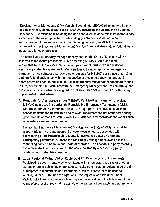The Emergency Management Division shall coordinate MEMAC planning and training, and occasionally conduct exercises of MEMAC activation and operations as deemed necessary. Exercises shall be designed and conducted so as to minimize extraordinary expenses to the extent possible. Participating governments shall not receive reimbursement for exercises, training or planning pertaining to MEMAC unless approved by the Emergency Management Division from available state or federal funds authorized for such purposes.

The established emergency management system for the State of Michigan will be followed to the extent practicable in implementing MEMAC. An authorized representative of the affected participating government must make requests for assistance under this agreement. Municipalities without an appointed emergency management coordinator shall coordinate requests for MEMAC assistance or for other state or federal assistance with their respective county emergency management coordinators as soon as practicable. Local emergency management coordinators shall, in turn, coordinate their activities with the Emergency Management Division through the division's district coordinator assigned to that area. See "Attachment E" for Summary Implementation Guidelines.

A. Requests for Assistance under MEMAC: Participating governments invoking MEMAC as requesting parties shall provide the Emergency Management Division with the information set forth in Article Ill, Paragraph F. The division shall then assess its database of available and relevant resources; contact other participating governments or mobilize state assets for assistance; and coordinate the mobilization of assistance under this agreement.

Neither the Emergency Management Division nor the State of Michigan shall be responsible for any reimbursement or compensation costs associated with coordinating or facilitating such requests for assistance between or among participating governments, unless the Emergency Management Division is the requesting party on behalf of the State of Michigan. In all cases, the party receiving assistance shall be responsible for the costs incurred by any assisting party rendering aid under this agreement.

B. Local/Regional Mutual Aid or Reciprocal Aid Compacts and Agreements: Participating governments may, when faced with an emergency, disaster or other serious threat to public health and safely, invoke other, local or regional mutual aid or reciprocal aid compacts or agreements in lieu of, prior to, or in addition to, invoking MEMAC. Neither participation in nor requests for assistance under MEMAC shall preclude, supersede or negate the activation or the fulfillment of the terms of any local or regional mutual aid or reciprocal aid compacts and agreements.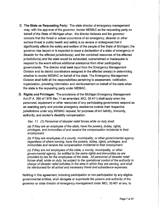- C. The State as Requesting Party: The state director of emergency management may, with the approval of the governor, invoke MEMAC as the requesting party on behalf of the State of Michigan when: the director believes and the governor concurs that the threat or actual occurrence of an emergency, disaster or other serious threat to public health and safety is so severe or widespread that it significantly affects the safety and welfare of the people of the State of Michigan; the governor has issued or is expected to issue a declaration of a state of emergency or disaster for the affected jurisdiction(s); and the combined resources of the affected jurisdiction(s) and the state would be exhausted, overwhelmed or inadequate to respond to the event without additional assistance from other participating governments. The director shall seek input from the Emergency Management Division and its district coordinators assigned in the affected area(s) in determining whether to invoke MEMAC on behalf of the state. The Emergency Management Division shall fulfill all the responsibilities pertaining to assessment, notification, organization, providing information and reimbursement on behalf of the state when the state is the requesting party under MEMAC.
- D. Rights and Privileges: The provisions of the Michigan Emergency Management Act (P.A. 390 of 1976 Sec.11 as amended; MCL 30.411) shall apply when the personnel, equipment or other resources of any participating government respond as an assisting party and provide emergency assistance outside their respective jurisdictions under any MEMAC request, for purposes of tort liability, immunity, authority, and worker's disability compensation.

Sec. 11. (1) Personnel of disaster relief forces while on duty shall:

(a) If they are an employee of the state, have the powers, duties, rights, privileges, and immunities of and receive the compensation incidental to their employment.

(b) If they are employees of a county, municipality, or other governmental agency regardless of where serving, have the powers, duties, rights, privileges, and immunities and receive the compensation incidental to their employment.

(c) If they are not employees of the state, a county, municipality, or other governmental agency, be entitled to the same rights and immunities as are provided by law for the employees of the state. All personnel of disaster relief forces shall, while on duty, be subject to the operational control of the authority in charge of disaster relief activities in the area in which they are serving, and shall be reimbursed for all actual and necessary travel and subsistence expenses.

Nothing in this agreement, including participation or non-participation by any eligible governmental entities, shall abrogate or supersede the powers and authority of the governor or state director of emergency management under MCL 30.401 et seq. to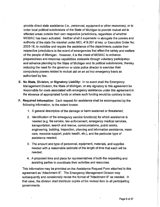provide direct state assistance (i.e., personnel, equipment or other resources), or to order local political subdivisions of the State of Michigan to provide mutual aid to affected areas outside their own respective jurisdictions, regardless of whether MEMAC has been activated. Neither shall it supersede or abrogate the powers and authority of the state fire marshal under MCL 419.201 *et seq.* or Executive Order No. 2003-18, to mobilize and require the assistance of fire departments outside their respective jurisdictions in the event of emergencies that affect the safety and welfare of the people of Michigan. However, it is the intent of MEMAC to enhance preparedness and response capabilities statewide through voluntary participation and advance planning by the State of Michigan and its political subdivisions, thereby reducing the need for the governor or state police director to exercise their compulsory powers related to mutual aid on an ad hoc emergency basis as authorized by law.

- **E. No State, Division, or Signatory Liability:** In no event shall the Emergency Management Division, the State of Michigan, or any signatory to this agreement be responsible for costs associated with emergency assistance under this agreement in the absence of appropriated funds or where such funding would be contrary to law.
- **F. Required Information:** Each request for assistance shall be accompanied by the following information, to the extent known:
	- 1. A general description of the damage or harm sustained or threatened;
	- 2. Identification of the emergency service function(s) for which assistance is needed (e.g. fire service, law enforcement, emergency medical services, transportation, search and rescue, communications, public works, engineering, building, inspection, planning and information assistance, mass care, resource support, public health, etc.), and the particular type of assistance needed;
	- 3. The amount and type of personnel, equipment, materials, and supplies needed with a reasonable estimate of the length of time that each will be needed;
	- 4. A proposed time and place for representatives of both the requesting and assisting parties to coordinate their activities and resources.

This information may be provided on the Assistance Request Form attached to this agreement as "Attachment 8". The Emergency Management Division may subsequently and occasionally revise the format of "Attachment B" as needed. In that case, the division shall distribute copies of the revised form to all participating governments.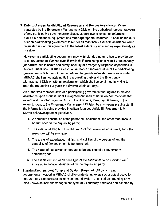G. Duty to Assess Availability of Resources and Render Assistance: When contacted by the Emergency Management Division, the authorized representative(s) of any participating government shall assess their own situation to determine available personnel, equipment and other appropriate resources. It shall be the duty of each participating government to render all reasonably available assistance when requested under this agreement to the fullest extent possible and as expeditiously as possible.

However, a participating government may withhold, decline or refuse to provide any or all requested assistance even if available if such compliance would unreasonably jeopardize public health and safety, security or emergency response capabilities in its own jurisdiction. In such a case, an authorized representative of the participating government which has withheld or refused to provide requested assistance under MEMAC shall immediately notify the requesting party and the Emergency Management Division with an explanation, which shall be confirmed in writing to both the requesting party and the division within ten days.

An authorized representative of a participating government that agrees to provide assistance upon request under this agreement shall immediately communicate that assent and the information set forth in this Article Ill, Paragraph G below, to the extent known, to the Emergency Management Division by any means practicable. If the information is being provided in written form see Article Ill, Paragraph L for written acknowledgement guidelines.

- 1. A complete description of the personnel, equipment, and other resources to be furnished to the requesting party;
- 2. The estimated length of time that each of the personnel, equipment, and other resources will be available;
- 3. The areas of experience, training, and abilities of the personnel and the capability of the equipment to be furnished;
- 4. The name of the person or persons to be designated as supervisory personnel; and
- 5. The estimated time when each type of the assistance to be provided will arrive at the location designated by the requesting party.
- H. Standardized Incident Command System Required: All participating governments involved in MEMAC shall operate during exercises or actual activation pursuant to a standardized incident command system or unified command system (also known as incident management system) as currently endorsed and adopted by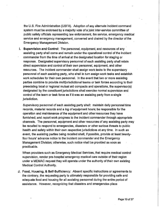the U.S. Fire Administration (USFA). Adoption of any alternate incident command system must be endorsed by a majority vote of a joint inter-service committee of public safety officials representing law enforcement, fire service, emergency medical service and emergency management, convened and chaired by the director of the Emergency Management Division.

I. Supervision and Control: The personnel, equipment, and resources of any assisting party shall come and remain under the operational control of the incident commander from the time of arrival at the designated location for staging or response. Designated supervisory personnel of each assisting party shall retain direct supervision and control of their own personnel, equipment, and other resources. The incident commander shall assign work tasks to the supervisory personnel of each assisting party, who shall in turn assign work tasks and establish work schedules for their own personnel. In the event that two or more assisting parties combine to provide multijurisdictional teams or task forces according to their preexisting local or regional mutual aid compacts and operations, the supervisor(s) designated by the constituent jurisdictions shall exercise normal supervision and control of the team or task force as if it was an assisting party from a single jurisdiction.

Supervisory personnel of each assisting party shall: maintain daily personnel time records, material records and a log of equipment hours; be responsible for the operation and maintenance of the equipment and other resources they have furnished; and report work progress to the incident commander through appropriate channels. The personnel, equipment and other resources of any assisting party may be recalled to respond to emergencies, disasters or other serious threats to public health and safety within their own respective jurisdictions at any time. In such an event, the assisting parties being recalled shall, if possible, provide at least twentyfour hours' advance notice to the incident commander and the Emergency Management Division; otherwise, such notice shall be provided as soon as practicable.

When providers such as Emergency Medical Services, that require medical control supervision, render pre-hospital emergency medical care outside of their region under a MEMAC request they will operate under the authority of their own existing Medical Control Authority.

J. Food, Housing, & Self-Sufficiency: Absent specific instructions or agreements to the contrary, the requesting party is ultimately responsible for providing safe and adequate food and housing for all assisting personnel during the entire period of assistance. However, recognizing that disasters and emergencies place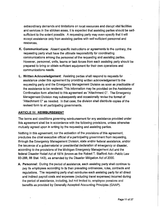extraordinary demands and limitations on local resources and disrupt vital facilities and services in the stricken areas, it is expected that assisting parties should be selfsufficient to the extent possible. A requesting party may even specify that it will accept assistance only from assisting parties with self-sufficient personnel and resources.

- **K. Communications:** Absent specific instructions or agreements to the contrary, the requesting party shall have the ultimate responsibility for coordinating communications among the personnel of the requesting and assisting parties. However, personnel, units, teams or task forces from each assisting party should be prepared to bring or obtain sufficient equipment for their own operations and communications needs.
- **L. Written Acknowledgement:** Assisting parties shall respond to requests for assistance under this agreement by providing written acknowledgement to the requesting party and the Emergency Management Division as soon as practicable of the assistance to be rendered. This information may be provided on the Assistance Confirmation form attached to this agreement as "Attachment C". The Emergency Management Division may subsequently and occasionally revise the format of "Attachment C" as needed. In that case, the division shall distribute copies of the revised form to all participating governments.

## **ARTICLE** IV: **REIMBURSEMENT**

The terms and conditions governing reimbursement for any assistance provided under this agreement shall be in accordance with the following provisions, unless otherwise mutually agreed upon in writing by the requesting and assisting parties.

Nothing in this agreement, nor the activation of the provisions of this agreement, precludes the chief executive official of a participating government from requesting, through the Emergency Management Division, state and/or federal assistance, and/or the issuance of a gubernatorial or presidential declaration of emergency or disaster, according to the provisions of the Michigan Emergency Management Act and the federal Disaster Relief Act of 1974 (known as the Robert T. Stafford Act-Public Law 93-288, 88 Stat. 143), as amended by the Disaster Mitigation Act of 2000.

**A. Personnel:** During the period of assistance, each assisting party shall continue to pay its employees according to its then prevailing ordinances, rules, contracts and regulations. The requesting party shall reimburse each assisting party for all direct and indirect payroll costs and expenses (including travel expenses) incurred during the period of assistance, including, but not limited to, employee pensions and benefits as provided by Generally Accepted Accounting Principles (GAAP).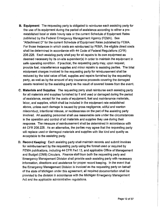- **B. Equipment:** The requesting party is obligated to reimburse each assisting party for the use of its equipment during the period of assistance according to either a preestablished local or state hourly rate or the current Schedule of Equipment Rates published by the Federal Emergency Management Agency (FEMA). See "Attachment D" for the current Schedule of Equipment Rates published by FEMA. For those instances in which costs are reimbursed by FEMA, the eligible direct costs shall be determined in accordance with 44 Code of Federal Regulations (CFR) 206.228. Each assisting party shall pay for all repairs to its own equipment as deemed necessary by its on-site supervisor(s) in order to maintain the equipment in safe operating condition. If practical, the requesting party may, upon request, provide fuel, miscellaneous supplies and minor repairs to assisting parties. The total equipment charges invoiced to the requesting party for reimbursement shall be reduced by the total value of fuel, supplies and repairs furnished by the requesting party, as well as by the amount of any insurance proceeds covering the damaged assets received by the assisting party as the result of covered losses from the event.
- **C. Materials and Supplies:** The requesting party shall reimburse each assisting party for all materials and supplies furnished by it and used or damaged during the period of assistance, except for the costs of equipment, fuel and maintenance materials, labor, and supplies, which shall be included in the equipment rate established above, unless such damage is caused by gross negligence, willful and wanton misconduct, intentional misuse, or recklessness on the part of the assisting party involved. All assisting personnel shall use reasonable care under the circumstances in the operation and control of all materials and supplies they use during their response. The measure of reimbursement shall be determined in accordance with 44 CFR 206.228. As an alternative, the parties may agree that the requesting party will replace used or damaged materials and supplies with like kind and quality as acceptable to the assisting party.
- **D. Record Keeping:** Each assisting party shall maintain records and submit invoices for reimbursement by the requesting party using the format used or required by FEMA publications, including 44 CFR Part 13, and applicable Office of Management and Budget (OMB) Circulars. Finance staff from both the requesting party and Emergency Management Division shall provide each assisting party with necessary information, directions and assistance for proper record keeping. In the event that the Emergency Management Division is invoiced as the requesting party on behalf of the state of Michigan under this agreement, all required documentation shall be provided to the division in accordance with the Michigan Emergency Management Act and the applicable administrative regulations.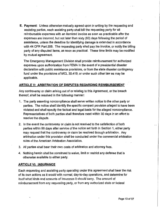**E. Payment:** Unless otherwise mutually agreed upon in writing by the requesting and assisting parties, each assisting party shall bill the requesting party for all reimbursable expenses with an itemized invoice as soon as practicable after the expenses are incurred, but not later than sixty (60) days following the period of assistance, unless the deadline for identifying damage is extended in accordance with 44 CFR Part 206. The requesting party shall pay the invoice, or notify the billing party of any disputed items, as soon as practical. These time limits may be modified by mutual agreement.

The Emergency Management Division shall provide reimbursement for authorized expenses upon authorization from FEMA in the event of a presidential disaster declaration with public assistance provisions, or from the state disaster contingency fund under the provisions of MCL 30.419, or under such other law as may be applicable.

# **ARTICLE V: ARBITRATION OF DISPUTES REGARDING REIMBURSEMENT**

Any controversy or claim arising out of or relating to this Agreement, or the breach thereof, shall be resolved in the following manner:

- 1. The party asserting noncompliance shall serve written notice to the other party or parties. The notice shall identify the specific compact provision alleged to have been violated and shall specify the factual and legal basis for the alleged noncompliance. Representatives of both parties shall therefore meet within 30 days in an effort to resolve the dispute.
- 2. In the event the controversy or claim is not resolved to the satisfaction of both parties within 90 days after service of the notice set forth in Section 1, either party may request that the controversy or claim be resolved through arbitration. Any arbitration under this provision shall be conducted under the commercial arbitration rules of the American Arbitration Association.
- 3. All parties shall bear their own costs of arbitration and attorney fees.
- 4. Nothing herein shall be construed to waive, limit or restrict any defense that is otherwise available to either party.

#### **ARTICLE** VI: **INSURANCE**

Each requesting and assisting party operating under this agreement shall bear the risk of its own actions as it would with normal, day-to-day operations, and determine for itself what kinds and amounts of insurance it should carry. The amount of reimbursement from any requesting party, or from any authorized state or federal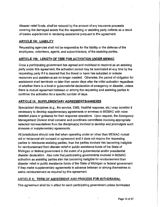disaster relief funds, shall be reduced by the amount of any insurance proceeds covering the damaged assets that the requesting or assisting party collects as a result of losses experienced in rendering assistance pursuant to this agreement.

## **ARTICLE VII: LIABILITY**

Requesting agencies shall not be responsible for the liability or the defense of the employees, volunteers, agents, and subcontractors, of the assisting parties.

# **ARTICLE VIII: LENGTH OF TIME FOR ACTIVATION UNDER MEMAC**

Once a participating government has agreed and mobilized to respond as an assisting party under this agreement, the activation period may be terminated at any time by the requesting party if it is deemed that the threat or harm has subsided or outside resources and assistance are no longer needed. Otherwise, the period of obligation for assistance shall terminate no later than seven days after the initial activation regardless of whether there is a local or gubernatorial declaration of emergency or disaster, unless there is mutual agreement between or among the requesting and assisting parties to continue the activation for a specific number of days.

## **ARTICLE** IX: **SUPPLEMENTARY AGREEMENTS/ANNEXES**

Specialized disciplines (e.g., fire service, EMS, HazMat response, etc.) may consider it necessary to develop supplementary agreements or annexes to MEMAC with more detailed plans or guidance for their response operations. Upon request, the Emergency Management Division shall convene and coordinate committees involving appropriate selected representatives from the discipline(s) involved to develop and promulgate such annexes or supplementary agreements.

All jurisdictions should note that when operating under an other than MEMAC mutual aid or reciprocal aid compact or agreement and it does not require the requesting parties to reimburse assisting parties, then the parties involved risk becoming ineligible for reimbursement from disaster relief or public assistance funds of the State of Michigan or federal government in the event of a gubernatorial and/or presidential disaster declaration. Also note that participating governments involved in MEMAC activation as assisting parties also risk becoming ineligible for reimbursement from disaster relief or public assistance funds of the State of Michigan or federal government if they make supplementary agreements in advance between or among themselves to waive reimbursement as required by this agreement.

# ARTICLE X: TERM OF AGREEMENT AND PROCESS FOR WITHDRAWAL

This agreement shall be in effect for each participating government unless terminated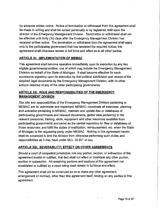by advance written notice. Notice of termination or withdrawal from this agreement shall be made in writing and shall be served personally or by registered mail upon the director of the Emergency Management Division. Termination or withdrawal shall not be effective until thirty (30) days after the Emergency Management Division has received written notice. The termination or withdrawal from the agreement shall apply only to the participating government that has tendered the required notice; this agreement shall otherwise remain in full force and effect as to all other parties.

#### **ARTICLE** XI: **IMPLEMENTATION OF MEMAC**

This agreement shall become operative immediately upon its execution by any two eligible governmental entities, one of which may include the Emergency Management Division on behalf of the State of Michigan. It shall become effective for each successive signatory upon its execution by that political subdivision and receipt of the required legal documents by the Emergency Management Division, with no other actions required of any of the other participating governments.

# **ARTICLE** XII: **ROLE AND RESPONSIBILITIES OF THE EMERGENCY MANAGEMENT DIVISION**

The role and responsibilities of the Emergency Management Division pertaining to ME MAC are to: administer and implement MEMAC; coordinate all exercises, planning and activation pertaining to MEMAC; maintain and update files or databases of participating governments and relevant documents; gather data pertaining to the relevant personnel, training, skills, equipment and other resources available from participating governments and serve as the central repository for files or databases of those resources; and fulfill the duties of notification, reimbursement, etc. when the State of Michigan is the requesting party under MEMAC. Nothing in this agreement herein shall be construed to limit the division from otherwise performing such duties and responsibilities as it may have under MCL 30.401 *et seq.* 

## **ARTICLE** XIII: **SEVERABILITY; EFFECT ON OTHER AGREEMENTS**

Should a court of competent jurisdiction rule any portion, section, or subsection of this agreement invalid or nullified, that fact shall not affect or invalidate any other portion, section or subsection. All remaining portions and sections of this agreement not invalidated or nullified by a court ruling shall remain in full force and effect.

This agreement shall not be construed so as to make any other agreement, arrangement or contract, other than this agreement itself, binding on any parties to this agreement.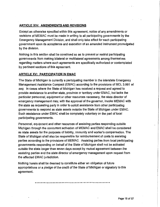# **ARTICLE XIV: AMENDMENTS AND REVISIONS**

Except as otherwise specified within this agreement, notice of any amendments or revisions of MEMAC must be made in writing to all participating governments by the Emergency Management Division, and shall only take effect for each participating government upon its acceptance and execution of an amended instrument promulgated by the division.

Nothing in this section shall be construed so as to prevent or restrict participating governments from making bilateral or multilateral agreements among themselves regarding matters where such agreements are specifically authorized or contemplated by pertinent sections of this agreement.

# **ARTICLE XV: PARTICIPATION IN EMAC**

The State of Michigan is currently a participating member in the interstate Emergency Management Assistance Compact (EMAC) according to the provisions of MCL 3.991 et *seq.* In cases where the State of Michigan has received a request and agreed to provide assistance to another state, province or territory under EMAC, but lacks the particular personnel, equipment or other resources necessary, the state director of emergency management may, with the approval of the governor, invoke MEMAC with the state as requesting party in order to solicit assistance from other participating governments to respond as state assets outside the State of Michigan under EMAC. Such assistance under EMAC shall be completely voluntary on the part of local participating governments.

Personnel, equipment and other resources of assisting parties responding outside Michigan through the concurrent activation of MEMAC and EMAC shall be considered as state assets for the purposes of liability, immunity and worker's compensation. The State of Michigan shall also be responsible for reimbursement of costs to assisting parties according to the provisions of MEMAC. Assisting parties from local participating governments responding on behalf of the State of Michigan shall not be activated outside the state longer than seven days except by mutual agreement between the assisting parties and the state director of emergency management upon request from the affected EMAC jurisdiction.

Nothing herein shall be deemed to constitute either an obligation of future appropriations or a pledge of the credit of the State of Michigan or signatory to this agreement.

**oooottttttetttttettttlltteoeottooeeoooooo•ottttttttt**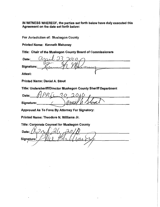IN WITNESS WHEREOF, the parties set forth below have duly executed this Agreement on the date set forth below:

For Jurisdiction of: Muskegon County

Printed Name: Kenneth Mahoney

Title: Chair of the Muskegon County Board of Commissioners

Date: Signature: Attest:

Printed Name: Daniel A. Stout

Title: Undersheriff/Director Muskegon County Sheriff Department

Date: Signature:

Approved As To Form By Attorney For Signatory:

Printed Name: Theodore N. Williams Jr.

Title: Corporate Counsel for Muskegon County

 $\triangle$ Date: Signature: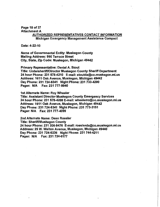#### Page 18 of 37 Attachment A

# AUTHORIZED REPRESENTATIVES CONTACT INFORMATION Michigan Emergency Management Assistance Compact

Date: 4-22-10

Name of Governmental Entity: Muskegon County Mailing Address: 990 Terrace Street City, State, Zip Code: Muskegon, Michigan 49442

Primary Representative: Daniel A. Stout Title: Undersheriff/Director Muskegon County Sheriff Department 24 hour Phone: 231 578-4210 E-mail: stoutda@co.muskegon.mi.us Address: 1611 Oak Avenue, Muskegon, Michigan 49442 Day Phone: 231 724-6341 Night Phone: 231 733-4290 Pager: N/A Fax: 231 777-9940

1st Alternate Name: Roy Wheeler

Title: Assistant Director Muskegon County Emergency Services 24 hour Phone: 231 578-4208 E-mail: wheelerro@co.muskegon.mi.us Address: 1611 Oak Avenue, Muskegon, Michigan 49442 Day Phone: 231 724-6341 Night Phone: 231 773-3151 Pager: N/A Fax: 231 777-4099

2nd Alternate Name: Dean Roesler Title: Sheriff/Muskegon County 24 hour Phone: 231 206-9476 E-mail: roeslerde@co.muskegon.mi.us Address: 25 W. Walton Avenue, Muskegon, Michigan 49440 Day Phone: 231 724-6236 Night Phone: 231 744-4211 Pager: N/A Fax: 231 724-6177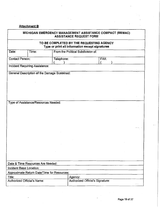# **Attachment B**

# MICHIGAN EMERGENCY MANAGEMENT ASSISTANCE COMPACT (MEMAC) ASSISTANCE REQUEST FORM

# TO BE COMPLETED BY THE REQUESTING AGENCY Type or print all information except signatures

| Date:                          | Time:                                        |            | From the Political Subdivision of: |      |  |          |
|--------------------------------|----------------------------------------------|------------|------------------------------------|------|--|----------|
| <b>Contact Person:</b>         |                                              | Telephone: |                                    | FAX: |  |          |
|                                |                                              |            |                                    |      |  |          |
|                                | Incident Requiring Assistance:               |            |                                    |      |  |          |
|                                | General Description of the Damage Sustained: |            |                                    |      |  |          |
|                                |                                              |            |                                    |      |  |          |
|                                |                                              |            |                                    |      |  |          |
|                                |                                              |            |                                    |      |  |          |
|                                |                                              |            |                                    |      |  |          |
|                                |                                              |            |                                    |      |  |          |
|                                |                                              |            |                                    |      |  |          |
|                                | Type of Assistance/Resources Needed:         |            |                                    |      |  |          |
|                                |                                              |            |                                    |      |  |          |
|                                |                                              |            |                                    |      |  |          |
|                                |                                              |            |                                    |      |  |          |
|                                |                                              |            |                                    |      |  |          |
|                                |                                              |            |                                    |      |  |          |
|                                |                                              |            |                                    |      |  |          |
|                                |                                              |            |                                    |      |  |          |
|                                |                                              |            |                                    |      |  |          |
|                                |                                              |            |                                    |      |  |          |
|                                |                                              |            |                                    |      |  |          |
|                                |                                              |            |                                    |      |  |          |
|                                |                                              |            |                                    |      |  |          |
|                                |                                              |            |                                    |      |  |          |
|                                |                                              |            |                                    |      |  |          |
|                                | Date & Time Resources Are Needed:            |            |                                    |      |  |          |
| <b>Incident Base Location:</b> |                                              |            |                                    |      |  |          |
|                                | Approximate Return Date/Time for Resources:  |            |                                    |      |  |          |
| Title:                         |                                              |            | Agency:                            |      |  |          |
| Authorized Official's Name:    |                                              |            | Authorized Official's Signature:   |      |  |          |
|                                |                                              |            |                                    |      |  | $\cdots$ |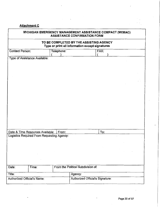# Attachment C

| MICHIGAN EMERGENCY MANAGEMENT ASSISTANCE COMPACT (MEMAC)<br><b>ASSISTANCE CONFIRMATION FORM</b> |                                                                                            |            |                                    |      |  |  |  |
|-------------------------------------------------------------------------------------------------|--------------------------------------------------------------------------------------------|------------|------------------------------------|------|--|--|--|
|                                                                                                 | TO BE COMPLETED BY THE ASSISTING AGENCY<br>Type or print all information except signatures |            |                                    |      |  |  |  |
| <b>Contact Person:</b>                                                                          |                                                                                            | Telephone: |                                    | FAX: |  |  |  |
|                                                                                                 | Type of Assistance Available:                                                              |            |                                    |      |  |  |  |
|                                                                                                 |                                                                                            |            |                                    |      |  |  |  |
|                                                                                                 |                                                                                            |            |                                    |      |  |  |  |
|                                                                                                 |                                                                                            |            |                                    |      |  |  |  |
|                                                                                                 |                                                                                            |            |                                    |      |  |  |  |
|                                                                                                 |                                                                                            |            |                                    |      |  |  |  |
|                                                                                                 | Date & Time Resources Available:<br>Logistics Required From Requesting Agency:             | From:      |                                    | To:  |  |  |  |
|                                                                                                 |                                                                                            |            |                                    |      |  |  |  |
|                                                                                                 |                                                                                            |            |                                    |      |  |  |  |
|                                                                                                 |                                                                                            |            |                                    |      |  |  |  |
| Date:                                                                                           | Time:                                                                                      |            | From the Political Subdivision of: |      |  |  |  |
| Title:                                                                                          |                                                                                            |            | Agency:                            |      |  |  |  |
| Authorized Official's Name:                                                                     |                                                                                            |            | Authorized Official's Signature:   |      |  |  |  |

 $\ddot{\phantom{a}}$ 

 $\ddot{\phantom{0}}$ 

 $\overline{a}$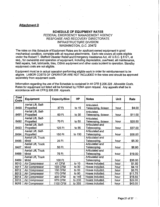# **Attachment D**

#### **SCHEDULE OF EQUIPMENT RATES**  FEDERAL EMERGENCY MANAGEMENT AGENCY RESPONSE AND RECOVERY DIRECTORATE INFRASTRUCTURE DIVISION WASHINGTON, D.C. 20472

The rates on this Schedule of Equipment Rates are for applicant-owned equipment in good mechanical condition, complete with all required attachments. Each rate covers all costs eligible under the Robert T. Stafford Disaster Relief and Emergency Assistance Act, 42 U.S.C. § 5121, et seq., for ownership and operation of equipment, including depreciation, overhead, all maintenance, field repairs, fuel, lubricants, tires, OSHA equipment and other costs incident to operation. Standby equipment costs are not eligible.

Equipment must be in actual operation performing eligible work in order for reimbursement to be eligible. LABOR COSTS OF OPERATOR ARE NOT INCLUDED in the rates and should be approved separately from equipment costs.

Information regarding the use of the Schedule is contained in 44 CFR § 206.228 Allowable Costs. Rates for equipment not listed will be furnished by FEMA upon request. Any appeals shall be in accordance with 44 CFR § 206.206 Appeals.

| Cost<br>Code | Equipment          | Capacity/Size  | HP      | <b>Notes</b>          | Unit | Rate    |
|--------------|--------------------|----------------|---------|-----------------------|------|---------|
|              | Aerial Lift, Self- |                |         | Articulated,          |      |         |
| 8490         | Propelled          | 37 Ft          | to $15$ | Telescoping, Scissor. | hour | \$4.00  |
|              | Aerial Lift, Self- |                |         | Articulated,          |      |         |
| 8491         | Propelled          | 60 Ft          | to $30$ | Telescoping, Scissor. | hour | \$11.00 |
|              | Aerial Lift, Self- |                |         | Articulated,          |      |         |
| 8492         | Propelled          | 70 Ft          | to 50   | Telescoping, Scissor. | hour | \$20.50 |
|              | Aerial Lift, Self- |                |         | Articulated and       |      |         |
| 8493         | Propelled          | 125 Ft         | to $85$ | Telescoping.          | hour | \$37.00 |
|              | Aerial Lift, Self- |                |         | Articulated and       |      |         |
| 8494         | Propelled          | 150 Ft         | to 130  | Telescoping.          | hour | \$58.00 |
|              | Aerial Lift, Truck |                |         | Articulated and       |      |         |
| 8486         | Mntd               | 25 Ft          |         | Telescoping.          | hour | \$5.30  |
|              | Aerial Lift, Truck |                |         | Articulated and       |      |         |
| 8487         | Mntd               | 50 Ft          |         | Telescoping.          | hour | \$8.90  |
|              | Aerial Lift, Truck |                |         | Articulated and       |      |         |
| 8488         | Mntd               | 75 Ft          |         | Telescoping.          | hour | \$19.00 |
|              | Aerial Lift, Truck |                |         | Articulated and       |      |         |
| 8489         | Mntd               | 100 Ft         |         | Telescoping.          | hour | \$36.00 |
| 8010         | Air Compressor     | 41 CFM         | to $10$ | Hoses included.       | hour | \$1.50  |
| 8011         | Air Compressor     | 103 CFM        | to 30   | Hoses included.       | hour | \$4.10  |
| 8012         | Air Compressor     | 130 CFM        | to 50   | Hoses included.       | hour | \$6.70  |
| 8013         | Air Compressor     | <b>175 CFM</b> | to 90   | Hoses included.       | hour | \$11.75 |
| 8014         | Air Compressor     | 400 CFM        | to 145  | Hoses included.       | hour | \$18.50 |
| 8015         | Air Compressor     | 575 CFM        | to 230  | Hoses included.       | hour | \$29.00 |
| 8016         | Air Compressor     | 1100 CFM       | to 355  | Hoses included.       | hour | \$43.00 |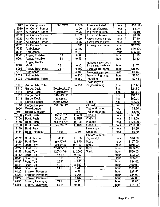| 8017 | Air Compressor     | 1600 CFM           | to 500  | Hoses included.        | hour | \$58.00  |
|------|--------------------|--------------------|---------|------------------------|------|----------|
| 8020 | Air Curtain Burner |                    | to 50   | In ground burner.      | hour | \$5.40   |
| 8021 | Air Curtain Burner |                    | to 75   | In ground burner.      | hour | \$6.10   |
| 8022 | Air Curtain Burner |                    | to 100  | In ground burner.      | hour | \$6.90   |
| 8023 | Air Curtain Burner |                    | to 50   | Above ground burner.   | hour | \$7.30   |
| 8024 | Air Curtain Burner |                    | to 75   | Above ground burner.   | hour | \$9.70   |
| 8025 | Air Curtain Burner |                    | to 100  | Above ground burner.   | hour | \$12.75  |
| 8040 | Ambulance          |                    | to 150  |                        | hour | \$16.50  |
| 8041 | Ambulance          |                    | to 210  |                        | hour | \$25.00  |
| 8060 | Auger, Portable    | 16 In              | to 6    |                        | hour | \$1.10   |
| 8061 | Auger, Portable    | $\overline{18}$ In | to 13   |                        | hour | \$2.50   |
|      | Auger, Tractor     |                    |         | Includes digger, boom  |      |          |
| 8062 | Mntd               | 36 In              | to $13$ | & mounting hardware.   | hour | \$1.75   |
| 8063 | Auger, Truck Mntd  | 24 In              | to 100  | Guardrail post driver. | hour | \$25.00  |
| 8070 | Automobile         |                    | to 130  | Transporting people.   | mile | \$0.37   |
| 8071 | Automobile         |                    | to 130  | Transporting cargo.    | hour | \$7.60   |
| 8072 | Automobile, Police |                    | to 250  | Patrolling.            | mile | \$0.41   |
|      |                    |                    |         | Stationary with        |      |          |
| 8073 | Automobile, Police |                    | to 250  | engine running.        | hour | \$11.00  |
| 8110 | Barge, Deck        | 120'x30'x7.25'     |         |                        | hour | \$24.50  |
| 8111 | Barge, Deck        | 120'x45'x7'        |         |                        | hour | \$38.00  |
| 8112 | Barge, Deck        | 140'x45'x7'        |         |                        | hour | \$51.00  |
| 8113 | Barge, Deck        | 150'x45'x9'        |         |                        | hour | \$60.00  |
| 8115 | Barge, Hopper      | 200'x35'x12'       |         | Open                   | hour | \$45.00  |
| 8116 | Barge, Hopper      | 200'x35'x12'       |         | Closed                 | hour | \$52.00  |
| 8050 | Board, Arrow       |                    | to $8$  | Trailer Mounted.       | hour | \$2.80   |
| 8051 | Board, Message     |                    | to 5    | Trailer Mounted.       | hour | \$8.40   |
| 8133 | Boat, Push         | 45'x21'x6'         | to 435  | Flat hull.             | hour | \$128.00 |
| 8134 | Boat, Push         | 54'x21'x6'         | to 525  | Flat hull.             | hour | \$144.00 |
| 8135 | Boat, Push         | 58'x24'x7.5'       | to 705  | Flat hull.             | hour | \$176.00 |
| 8136 | Boat, Push         | 64'x25'x8'         | to 870  | Flat hull.             | hour | \$206.00 |
| 8130 | Boat, Row          |                    |         | Heavy duty.            | hour | \$0.85   |
| 8131 | Boat, Runabout     | 13'x5'             | to 50   | Outboard.              | hour | \$9.30   |
|      |                    |                    |         | Inboard with 360       |      |          |
| 8132 | Boat, Tender       | 14'x7'             | to 100  | degree drive.          | hour | \$20.50  |
| 8120 | Boat, Tow          | 55'x20'x5'         | to 870  | Steel.                 | hour | \$157.00 |
| 8121 | Boat, Tow          | 60'x21'x5'         | to 1050 | Steel.                 | hour | \$248.00 |
| 8122 | Boat, Tow          | 70'x30'x7.5'       | to 1350 | Steel.                 | hour | \$369.00 |
| 8123 | Boat, Tow          | 120'x34'x8'        | to 2000 | Steel.                 | hour | \$559.00 |
| 8140 | Boat, Tug          | 16 Ft              | to 100  |                        | hour | \$23.00  |
| 8141 | Boat, Tug          | 18 $Ft -$          | to 175  |                        | hour | \$35.00  |
| 8142 | Boat, Tug          | 26 Ft              | to 250  |                        | hour | \$44.00  |
| 8143 | Boat, Tug          | 40 Ft              | to 380  |                        | hour | \$109.00 |
| 8144 | Boat, Tug          | 51 Ft              | to 700  |                        | hour | \$153.00 |
| 8420 | Breaker, Pavement  |                    | to 70   |                        | hour | \$25.50  |
| 8421 | Breaker, Pavement  |                    | to 105  |                        | hour | \$34.00  |
| 8422 | Breaker, Pavement  |                    | to 137  |                        | hour | \$42.00  |
| 8150 | Broom, Pavement    | 72 in              | to $20$ |                        | hour | \$7.80   |
| 8151 | Broom, Pavement    | 84 In              | to $45$ |                        | hour | \$11.75  |

 $\overline{\phantom{a}}$ 

 $\bar{z}$ 

i,

t

 $\ddot{\phantom{a}}$ 

 $\mathcal{L}^{\text{max}}$  ,  $\mathcal{L}^{\text{max}}$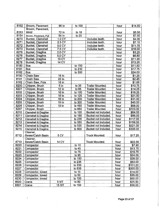| 8152         | Broom, Pavement                 | 96 In             | to 100           |                         | hour         | \$14.50            |
|--------------|---------------------------------|-------------------|------------------|-------------------------|--------------|--------------------|
|              | Broom, Pavement,                |                   |                  |                         |              |                    |
| 8153         | Mntd                            | 72 In             | to 18            |                         | hour         | \$5.50             |
| 8154         | Broom, Pavement, Pull           | 84 In             | to $20$          |                         | hour         | \$7.50             |
| 8270         | Bucket, Clamshell               | 1.0 CY            |                  | Includes teeth.         | hour         | \$4.00             |
| 8271         | Bucket, Clamshell               | 2.5 CY            |                  | Includes teeth.         | hour         | \$7.10             |
| 8272         | Bucket, Clamshell               | 5.0 <sub>CY</sub> |                  | Includes teeth.         | hour         | \$11.75            |
| 8273         | Bucket, Clamshell               | 7.5 CY            |                  | Includes teeth.         | hour         | . \$16.00          |
| 8275         | Bucket, Dragline                | 2.0 CY            |                  |                         | hour         | \$3.25             |
| 8276         | Bucket, Dragline                | 5.0 CY            |                  |                         | hour         | \$6.80             |
| 8277         | <b>Bucket, Dragline</b>         | 10 CY             |                  |                         | hour         | \$11.25            |
| 8278         | Bucket, Dragline                | 14 CY             |                  |                         | hour         | \$13.25            |
| 8180         | <b>Bus</b>                      |                   | to 150           |                         | hour         | \$11.50            |
| 8181         | <b>Bus</b>                      |                   | to 210           |                         | hour         | \$17.75            |
| 8182         | <b>Bus</b>                      |                   | to 300           |                         | hour         | \$24.00            |
| 8190         | Chain Saw                       | 16 In             |                  |                         | hour         | \$1.25             |
| 8191         | Chain Saw                       | 25 In             |                  |                         | hour         | \$2.45             |
| 8192         | Chain Saw, Pole                 | 18 In             |                  |                         | hour         | \$1.65             |
| 8200         | Chipper, Brush                  | 6 In              | to $35$          | Trailer Mounted.        | hour         | \$10.75            |
| 8201         | Chipper, Brush                  | 12 In             | to 65            | <b>Trailer Mounted.</b> | hour         | \$14.25            |
| 8202         | Chipper, Brush                  | 16 In             | to 100           | <b>Trailer Mounted.</b> | hour         | \$18.25            |
| 8203         | Chipper, Brush                  | 18 <sub>ln</sub>  | to 125           | <b>Trailer Mounted.</b> | hour         | \$21.50            |
| 8204         | Chipper, Brush                  | 18 In             | to 200           | <b>Trailer Mounted.</b> | hour         | \$31.00            |
| 8205         | Chipper, Brush                  | 19 In             | to 300           | Trailer Mounted.        | hour         | \$45.00            |
| 8206         | Chipper, Brush                  | 19 In             | to 450           | <b>Trailer Mounted.</b> | hour         | \$68.00            |
| 8207         | Chipper, Brush                  |                   | to 650           | <b>Trailer Mounted.</b> | hour         | \$103.00           |
| 8210         | Clamshell & Dragline            |                   | to 100           | Bucket not included.    | hour         | \$64.00            |
| 8211         | Clamshell & Dragline            |                   | to 155           | Bucket not included.    | hour         | \$86.00            |
| 8212         | <b>Clamshell &amp; Dragline</b> |                   | to 235           | Bucket not included.    | hour         | \$117.00           |
| 8213         | Clamshell & Dragline            |                   | to 350           | Bucket not included.    | hour         | \$159.00           |
| 8214         | Clamshell & Dragline            |                   | to 530           | Bucket not included.    | hour         | \$221.00           |
| 8215         | Clamshell & Dragline            |                   | to 800           | Bucket not included.    | hour         | \$305.00           |
|              | Cleaner,                        |                   |                  |                         |              |                    |
| 8712         | Sewer/Catch Basin               | 5 CY              |                  | <b>Truck Mounted.</b>   | hour         | \$17.25            |
|              | Cleaner,                        |                   |                  |                         |              |                    |
| 8713         | Sewer/Catch Basin               | 14 CY             |                  | <b>Truck Mounted.</b>   | hour         | \$22.00            |
| 8220         | Compactor                       |                   | to $10$          |                         | hour         | \$7.90             |
| 8221<br>8222 | Compactor                       |                   | to $45$          |                         | hour         | \$13.75            |
|              | Compactor                       |                   | to $75$<br>to 95 |                         | hour         | \$19.75            |
| 8223<br>8224 | Compactor                       |                   | to 150           |                         | hour         | \$24.00            |
| 8225         | Compactor                       |                   | to 235           |                         | hour         | \$38.00<br>\$63.00 |
| 8226         | Compactor<br>Compactor          |                   | to 335           |                         | hour<br>hour | \$101.00           |
| 8227         | Compactor                       |                   | to 535           |                         | hour         | \$200.00           |
| 8228         | Compactor, towed                |                   | to $15$          |                         | hour         | \$14.00            |
| 8229         | Compactor, towed                |                   | to $50$          |                         | hour         | \$35.00            |
| 8230         | Compactor, towed                |                   | to 100           |                         | hour         | \$60.00            |
| 8500         | Crane                           | 8 MT              | to $80$          |                         | hour         | \$25.50            |
| 8501         | Crane                           | 15 MT             | to 150           |                         | hour         | \$38.00            |
|              |                                 |                   |                  |                         |              |                    |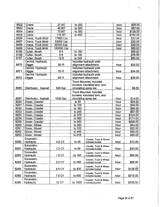| 8502         | Crane                | <b>27 MT</b>    | to 200  |                                | hour | \$58.00  |
|--------------|----------------------|-----------------|---------|--------------------------------|------|----------|
| 8503         | Crane                | 45 MT           | to 300  |                                | hour | \$87.00  |
| 8504         | Crane                | 70 MT           | to 350  |                                | hour | \$126.00 |
| 8505         | Crane                | 110 MT          | to 450  |                                | hour | \$182.00 |
| 8496         | Crane, Truck Mntd    | 17600 Lbs       |         |                                | hour | \$22.00  |
| 8497         | Crane, Truck Mntd    | 33000 Lbs       |         |                                | hour | \$32.00  |
| 8498         | Crane, Truck Mntd    | 60000 Lbs       |         |                                | hour | \$49.00  |
| 8499         | Crane, Truck Mntd    | 120000 Lbs      |         |                                | hour | \$86.00  |
| 8195         | Cutter, Brush        | 8ft             | to 150  |                                |      | \$69.00  |
| 8196         | Cutter, Brush        | 8 <sub>ft</sub> | to 190  |                                |      | \$76.00  |
| 8197         | Cutter, Brush        | 10 ft           | to 245  |                                |      | \$85.00  |
|              | Derrick, Hydraulic   |                 |         | Includes hydraulic pole        |      |          |
| 8670         | Digger               | 55 Ft           |         | alignment attachment.          | hour | \$32.00  |
|              | Derrick, Hydraulic   |                 |         | Includes hydraulic pole        |      |          |
| 8671         | <b>Digger</b>        | 75 Ft           |         | alignment attachment.          | hour | \$34.00  |
|              | Derrick, Hydraulic   |                 |         | Includes hydraulic pole        |      |          |
| 8672         | Digger               | 95 Ft           |         | alignment attachment.          | hour | \$36.00  |
|              |                      |                 |         | <b>Truck Mounted. Includes</b> |      |          |
|              |                      |                 |         | burners, insulated tank, and   |      |          |
| 8580         | Distributor, Asphalt | 500 Gal         |         | circulating spray bar.         | hour | \$9.50   |
|              |                      |                 |         | <b>Truck Mounted. Includes</b> |      |          |
|              |                      |                 |         | burners, insulated tank, and   |      |          |
| 8581         | Distributor, Asphalt | 1000 Gal        |         | circulating spray bar.         | hour | \$14.00  |
| 8250         | Dozer, Crawler       |                 | to 65   |                                | hour | \$26.50  |
| 8251         | Dozer, Crawler       |                 | to 105  |                                | hour | \$34.00  |
| 8252         | Dozer, Crawler       |                 | to 160  |                                | hour | \$46.00  |
| 8253         | Dozer, Crawler       |                 | to 245  |                                | hour | \$67.00  |
| 8254         | Dozer, Crawler       |                 | to 375  |                                | hour | \$104.00 |
| 8255         | Dozer, Crawler       |                 | to 565  |                                | hour | \$171.00 |
| 8256         | Dozer, Crawler       |                 | to 850  |                                |      |          |
| 8260         |                      |                 | to 260  |                                | hour | \$298.00 |
|              | Dozer, Wheel         |                 |         |                                | hour | \$44.00  |
| 8261<br>8262 | Dozer, Wheel         |                 | to 335  |                                | hour | \$52.00  |
|              | Dozer, Wheel         |                 | to 445  |                                | hour | \$66.00  |
| 8263         | Dozer, Wheel         |                 | to 615  |                                | hour | \$96.00  |
|              | Excavator,           |                 |         | Crawler, Truck & Wheel.        |      |          |
| 8280         | Hydraulic            | 0.5 CY          | to 45   | Includes bucket.               | hour | \$19.50  |
|              | Excavator,           |                 |         | Crawler, Truck & Wheel.        |      |          |
| 8281         | Hydraulic            | 1.0 CY          | to 90   | Includes bucket.               | hour | \$33.00  |
|              | Excavator,           |                 |         | Crawler, Truck & Wheel.        |      |          |
| 8282         | <b>Hydraulic</b>     | 1.5 CY          | to 160  | Includes bucket.               | hour | \$55.00  |
|              | Excavator,           |                 |         | Crawler, Truck & Wheel.        |      |          |
| 8283         | <b>Hydraulic</b>     | 2.5 CY          | to 265  | Includes bucket.               | hour | \$88.00  |
|              | Excavator,           |                 |         | Crawler, Truck & Wheel.        |      |          |
| 8284         | <b>Hydraulic</b>     | 4.5 CY          | to 420  | includes bucket.               | hour | \$138.00 |
|              | Excavator,           |                 |         | Crawler, Truck & Wheel.        |      |          |
| 8285         | <b>Hydraulic</b>     | 7.5 CY          | to 650  | Includes bucket.               | hour | \$215.00 |
|              | Excavator,           |                 |         | Crawler, Truck & Wheel.        |      |          |
| 8286         | Hydraulic            | <b>12 CY</b>    | to 1000 | Includes bucket.               | hour | \$338.00 |
|              |                      |                 |         |                                |      |          |

 $\frac{44}{\pi\sqrt{2}}$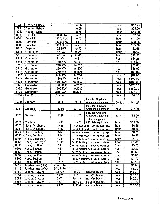| 8240 | Feeder, Grizzly  |                     | to $35$ |                                         | hour | \$18.75  |
|------|------------------|---------------------|---------|-----------------------------------------|------|----------|
| 8241 | Feeder, Grizzly  |                     | to 55   |                                         | hour | \$28.50  |
| 8242 | Feeder, Grizzly  |                     | to 75   |                                         | hour | \$45.00  |
| 8300 | Fork Lift        | 6000 Lbs            | to 60   |                                         | hour | \$7.80   |
| 8301 | Fork Lift        | 12000 Lbs           | to 90   |                                         | hour | \$11.00  |
| 8302 | <b>Fork Lift</b> | 18000 Lbs           | to 140  |                                         | hour | \$18.25  |
| 8303 | Fork Lift        | 50000 Lbs           | to 215  |                                         | hour | \$33.00  |
| 8310 | Generator        | 5.5 KW              | to 10   |                                         | hour | \$2.65   |
| 8311 | Generator        | 16 KW               | to $25$ |                                         | hour | \$5.90   |
| 8312 | Generator        | 43 KW               | to 65   |                                         | hour | \$12.50  |
| 8313 | Generator        | 85 KW               | to 125  |                                         | hour | \$18.25  |
| 8314 | Generator        | 140 KW              | to 200  |                                         | hour | \$25.50  |
| 8315 | Generator        | 210 KW              | to 300  |                                         | hour | \$36.00  |
| 8316 | Generator        | 280 KW              | to 400  |                                         | hour | \$46.00  |
| 8317 | Generator        | 350 KW              | to 500  |                                         | hour | \$56.00  |
| 8318 | Generator        | 530 KW              | to 750  |                                         | hour | \$82.00  |
| 8319 | Generator        | 710 KW              | to 1000 |                                         | hour | \$109.00 |
| 8320 | Generator        | 1100 KW             | to 1500 |                                         | hour | \$166.00 |
| 8321 | Generator        | 1500 KW             | to 2000 |                                         | hour | \$226.00 |
| 8322 | Generator        | 1900 KW             | to 2500 |                                         | hour | \$280.00 |
| 8323 | Generator        | 2400 KW             | to 3000 |                                         | hour | \$335.00 |
| 8755 | <b>Golf Cart</b> | 2 person            |         |                                         | hour | \$2.15   |
|      |                  |                     |         | Includes Rigid and                      |      |          |
| 8330 | Graders          | 8 Ft                | to $50$ | Articulate equipment.                   | hour | \$20.50  |
|      |                  |                     |         | Includes Rigid and                      |      |          |
| 8331 | Graders          | 10 Ft               | to 100  | Articulate equipment.                   | hour | \$27.00  |
|      |                  |                     |         | Includes Rigid and                      |      |          |
| 8332 | Graders          | 12 Ft               | to 150  | Articulate equipment.                   | hour | \$35.00  |
|      |                  |                     |         | Includes Rigid and                      |      | 50       |
| 8333 | Graders          | 14 Ft               | to 225  | Articulate equipment.                   | hour | \$49.00  |
| 8350 | Hose, Discharge  | 3 <sub>ln</sub>     |         | Per 25 foot length. Includes couplings. | hour | \$0.15   |
| 8351 | Hose, Discharge  | 4 In                |         | Per 25 foot length. Includes couplings. | hour | \$0.20   |
| 8352 | Hose, Discharge  | 6 In                |         | Per 25 foot length. Includes couplings. | hour | \$0.35   |
| 8353 | Hose, Discharge  | $\overline{8}$ In   |         | Per 25 foot length. Includes couplings. | hour | \$0.55   |
| 8354 | Hose, Discharge  | $\overline{1}2 \ln$ |         | Per 25 foot length. Includes couplings. | hour | \$1.10   |
| 8355 | Hose, Discharge  | $16 \ln$            |         | Per 25 foot length. Includes couplings. | hour | \$1.85   |
| 8356 | Hose, Suction    | 3 <sub>ln</sub>     |         | Per 25 foot length. Includes couplings. | hour | \$0.20   |
| 8357 | Hose, Suction    | 4 In                |         | Per 25 foot length. Includes couplings. | hour | \$0.30   |
| 8358 | Hose, Suction    | $6 \ln$             |         | Per 25 foot length. Includes couplings. | hour | \$0.50   |
| 8359 | Hose, Suction    | $8 \ln$             |         | Per 25 foot length. Includes couplings. | hour | \$0.80   |
| 8360 | Hose, Suction    | 12 In               |         | Per 25 foot length. Includes couplings. | hour | \$1.75   |
| 8361 | Hose, Suction    | 16 In               |         | Per 25 foot length. Includes couplings. | hour | \$3.10   |
| 8517 | Jackhammer (Dry) | 25-45 Lbs           |         |                                         | hour | \$1.05   |
| 8518 | Jackhammer (Wet) | 30-55 Lbs           |         |                                         | hour | \$1.20   |
| 8380 | Loader, Crawler  | 0.5 CY              | to $32$ | Includes bucket.                        | hour | \$11.75  |
| 8381 | Loader, Crawler  | 1 CY                | to $60$ | Includes bucket.                        | hour | \$20.50  |
| 8382 | Loader, Crawler  | 2 <sub>CY</sub>     | to 118  | Includes bucket.                        | hour | \$40.00  |
| 8383 | Loader, Crawler  | 3 CY                | to 178  | Includes bucket.                        | hour | \$63.00  |
| 8384 | Loader, Crawler  | 4 CY                | to 238  | Includes bucket.                        | hour | \$88.00  |

 $\frac{1}{2}$  .

 $\sum_{i=1}^n \mathbb{Z}_i$ 

 $\overline{a}$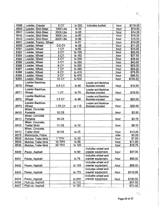| 8385 | Loader, Crawler        | 5 CY            | to 300  | Includes bucket.   | hour | \$118.00 |
|------|------------------------|-----------------|---------|--------------------|------|----------|
| 8540 | Loader, Skid-Steer     | 1000 Lbs        | to 35   |                    | hour | \$10.50  |
| 8541 | Loader, Skid-Steer     | 2000 Lbs        | to $65$ |                    | hour | \$14.25  |
| 8542 | Loader, Skid-Steer     | 3000 Lbs        | to 85   |                    | hour | \$16.00  |
| 8543 | Loader, Skid-Steer     | 4000 Lbs        | to 94   |                    | hour | \$16.50  |
| 8401 | Loader, Tractor, Wheel |                 | to 81   |                    | hour | \$14.25  |
| 8390 | Loader, Wheel          | 0.5 CY          | to 38   |                    | hour | \$11.25  |
| 8391 | Loader, Wheel          | 1 CY            | to $60$ |                    | hour | \$14.00  |
| 8392 | Loader, Wheel          | 2 CY            | to 105  |                    | hour | \$20.50  |
| 8393 | Loader, Wheel          | 3 CY            | to 152  |                    | hour | \$27.50  |
| 8394 | Loader, Wheel          | 4 CY            | to 200  |                    | hour | \$35.00  |
| 8395 | Loader, Wheel          | 5 <sub>CY</sub> | to 250  |                    | hour | \$43.00  |
| 8396 | Loader, Wheel          | 6 CY            | to 305  |                    | hour | \$53.00  |
| 8397 | Loader, Wheel          | 7 CY            | to 360  |                    | hour | \$64.00  |
| 8398 | Loader, Wheel          | 8 CY            | to 415  |                    | hour | \$75.00  |
| 8399 | Loader, Wheel          | 9 CY            | to 470  |                    | hour | \$86.00  |
| 8400 | Loader, Wheel          | 10 CY           | to 530  |                    | hour | \$100.00 |
|      | Loader-Backhoe,        |                 |         | Loader and Backhoe |      |          |
| 8570 | Wheel                  | 0.5 CY          | to 40   | Buckets included.  | hour | \$10.50  |
|      | Loader-Backhoe,        |                 |         | Loader and Backhoe |      |          |
| 8571 | Wheel                  | 1 CY            | to 70   | Buckets included.  | hour | \$16.00  |
|      | Loader-Backhoe,        |                 |         | Loader and Backhoe |      |          |
| 8572 | Wheel                  | 1.5 CY          | to 95   | Buckets included.  | hour | \$23.00  |
|      | Loader-Backhoe,        |                 |         | Loader and Backhoe |      |          |
| 8573 | Wheel                  | 1.75 CY         | to 115  | Buckets included.  | hour | \$30.00  |
|      | Mixer, Concrete        |                 |         |                    |      |          |
| 8410 | Portable               | 10 Cft          |         |                    | hour | \$2.50   |
|      | Mixer, Concrete        |                 |         |                    |      |          |
| 8411 | Portable               | 16 Cft          |         |                    | hour | \$3.75   |
|      | Mixer, Concrete,       |                 |         |                    |      |          |
| 8412 | <b>Trailer Mntd</b>    | 11 Cft          | to $10$ |                    | hour | \$8.70   |
|      | Mixer, Concrete,       |                 |         |                    |      |          |
| 8413 | <b>Trailer Mntd</b>    | 16 Cft          | to $25$ |                    | hour | \$13.25  |
| 8075 | Motorcycle, Police     |                 |         |                    | mile | \$0.29   |
| 8633 | Mulcher, Trailer Mntd  | 7 TPH           | to $35$ |                    | hour | \$7.90   |
| 8634 | Mulcher, Trailer Mntd  | <b>10 TPH</b>   | to $55$ |                    | hour | \$11.50  |
| 8635 | Mulcher, Trailer Mntd  | 20 TPH          | to 120  |                    | hour | \$16.75  |
|      |                        |                 |         | Includes wheel and |      |          |
| 8430 | Paver, Asphalt         |                 | to 50   | crawler equipment. | hour | \$37.00  |
|      |                        |                 |         | Includes wheel and |      |          |
|      |                        |                 | to 75   | crawler equipment. | hour | \$56.00  |
| 8431 | Paver, Asphalt         |                 |         | Includes wheel and |      |          |
|      |                        |                 |         |                    |      |          |
| 8432 | Paver, Asphalt         |                 | to 125  | crawler equipment. | hour | \$88.00  |
|      |                        |                 |         | Includes wheel and |      |          |
| 8433 | Paver, Asphalt         |                 | to 175  | crawler equipment. | hour | \$113.00 |
|      |                        |                 |         | Includes wheel and |      |          |
| 8434 | Paver, Asphalt         |                 | to 250  | crawler equipment. | hour | \$136.00 |
| 8436 | Pick-up, Asphalt       |                 | to 110  |                    |      | \$52.00  |
| 8437 | Pick-up, Asphalt       |                 | to 150  |                    |      | \$72.00  |

 $\tau_{\rm T}$ 

 $\Phi_{\mathcal{P}^{(1)}}$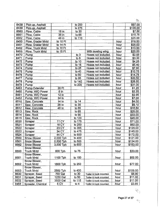| 8438 | Pick-up, Asphalt     |                    | to 200             |                          |       | \$97.00  |
|------|----------------------|--------------------|--------------------|--------------------------|-------|----------|
| 8439 | Pick-up, Asphalt     |                    | to 275             |                          |       | \$135.00 |
| 8660 | Plow, Cable          | $18$ in            | to 30              |                          |       | \$7.50   |
| 8661 | Plow, Cable          | 36 in              | to 65              |                          |       | \$15.75  |
| 8662 | Plow, Cable          | 48 in              | to 110             |                          |       | \$25.00  |
| 8450 | Plow, Grader Mntd    | to 10 Ft           |                    |                          | hour  | \$18.50  |
| 8451 | Plow, Grader Mntd    | to 14 Ft           |                    |                          | hour  | \$25.00  |
| 8452 | Plow, Truck Mntd     | to $15$ Ft         |                    |                          | hour  | \$13.50  |
| 8453 | Plow, Truck Mntd     | to 15 Ft           |                    | With leveling wing.      | hour  | \$20.00  |
| 8470 | Pump                 |                    | to 3               | Hoses not included.      | hour  | \$2.55   |
| 8471 | Pump                 |                    | to 6               | Hoses not included.      | hour  | \$3.30   |
| 8472 | Pump                 |                    | to 10              | Hoses not included.      | hour  | \$4.25   |
| 8473 | Pump                 |                    | to $15$            | Hoses not included.      | hour  | \$5.40   |
| 8474 | Pump                 |                    | to $25$            | Hoses not included.      | hour  | \$7.60   |
| 8475 | Pump                 |                    | to 40              | Hoses not included.      | hour  | \$10.75  |
| 8476 | Pump                 |                    | $\overline{10}$ 60 | Hoses not included.      | hour  | \$14,75  |
| 8477 | Pump                 |                    | to 95              | Hoses not included.      | hour  | \$20.50  |
| 8478 | Pump                 |                    | to 140             | Hoses not included.      | hour  | \$26.50  |
| 8479 | Pump                 |                    | to 200             | Hoses not included.      | hour  | \$31.00  |
| 8463 | <b>Pump Extender</b> | 20 Ft              |                    |                          | hour  | \$1.20   |
| 8460 | Pump, W/O Power      | 6 <sub>ln</sub>    |                    |                          | hour  | \$2.25   |
| 8461 | Pump, W/O Power      | 12 In              |                    |                          | hour  | \$2.95   |
| 8462 | Pump, W/O Power      | $\overline{24}$ In |                    |                          | hour  | \$7.00   |
| 8510 | Saw, Concrete        | 14 In              | to $14$            |                          | hour  | \$4.00   |
| 8511 | Saw, Concrete        | 26 In              | to 35              |                          | hour  | \$9.10   |
| 8512 | Saw, Concrete        | 48 In              | to $65$            |                          | hour  | \$15.50  |
| 8513 | Saw, Rock            |                    | to 65              |                          | hour  | \$25.00  |
| 8514 | Saw, Rock            |                    | to 90              |                          | hour  | \$33.00  |
| 8515 | Saw, Rock            |                    | to 120             |                          | hour  | \$45.00  |
| 8520 | Scraper              | <b>11 CY</b>       | to 175             |                          | hour  | \$71.00  |
| 8521 | Scraper              | <b>16 CY</b>       | to 250             |                          | hour  | \$92.00  |
| 8522 | Scraper              | 23 CY              | to 365             |                          | hour  | \$120.00 |
| 8523 | Scraper              | 34 CY              | to 475             |                          | hour  | \$145.00 |
| 8524 | Scraper              | 44 CY              | to 600             |                          | hour  | \$172.00 |
| 8560 | Snow Blower          | 2,000 Tph          | to 400             |                          | hour  | \$121.00 |
| 8561 | <b>Snow Blower</b>   | 2,500 Tph          | to 500             |                          | hour. | \$134.00 |
| 8562 | <b>Snow Blower</b>   | 3,500 Tph          | to 600             | $\epsilon$               | hour  | \$153.00 |
|      | Snow Blower,         |                    |                    |                          |       |          |
| 8550 | <b>Truck Mntd</b>    | 600 Tph            | to 75              |                          | hour  | \$33.00  |
|      | Snow Blower,         |                    |                    |                          |       |          |
| 8551 | <b>Truck Mntd</b>    | 1100 Tph           | to 150             |                          | hour  | \$52,00  |
|      | Snow Blower,         |                    |                    |                          |       |          |
| 8552 | <b>Truck Mntd</b>    | 1600 Tph           | to 250             |                          | hour  | \$77.00  |
|      | Snow Blower,         |                    |                    |                          |       |          |
| 8553 | <b>Truck Mntd</b>    | 2500 Tph           | to 400             |                          | hour  | \$109.00 |
| 8630 | Sprayer, Seed        | 750 Gal            | to 30              | Trailer & truck mounted. | hour  | \$8.80   |
| 8631 | Sprayer, Seed        | 1250 Gal           | to $50$            | Trailer & truck mounted. | hour  | \$11.00  |
| 8632 | Sprayer, Seed        | 3500 Gal           | to 115             | Trailer & truck mounted. | hour  | \$17.00  |
| 8458 | Spreader, Chemical   | 5 CY               | to 4               | Trailer & truck mounted. | hour  | \$3.65   |

 $\ddot{\phantom{0}}$ 

 $\mathcal{H}_\omega$ 

 $\ddot{\phantom{0}}$ 

 $\begin{pmatrix} \frac{1}{2} & \frac{1}{2} & \frac{1}{2} & \frac{1}{2} & \frac{1}{2} & \frac{1}{2} & \frac{1}{2} & \frac{1}{2} & \frac{1}{2} & \frac{1}{2} & \frac{1}{2} & \frac{1}{2} & \frac{1}{2} & \frac{1}{2} & \frac{1}{2} & \frac{1}{2} & \frac{1}{2} & \frac{1}{2} & \frac{1}{2} & \frac{1}{2} & \frac{1}{2} & \frac{1}{2} & \frac{1}{2} & \frac{1}{2} & \frac{1}{2} & \frac{1}{2} & \frac{1}{2$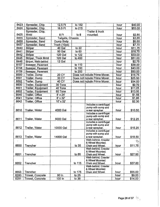| 8423 | Spreader, Chip            | 12.5 Ft           | to 152  |                                          | hour | \$40.00                                         |
|------|---------------------------|-------------------|---------|------------------------------------------|------|-------------------------------------------------|
| 8424 | Spreader, Chip            | 16.5 Ft           | to 215  |                                          | hour | \$53.00                                         |
|      | Spreader, Chip,           |                   |         | Trailer & truck                          |      |                                                 |
| 8425 | Mntd                      | 8 Ft              | to 8    | mounted.                                 | hour | \$2.85                                          |
| 8455 | Spreader, Sand            | Tailgate, Chassis |         |                                          | hour | \$3.85                                          |
| 8456 | Spreader, Sand            | Dump Body         |         |                                          | hour | \$5.50                                          |
| 8457 | Spreader, Sand            | Truck (10yd)      |         |                                          | hour | \$7.70                                          |
| 8440 | Striper                   | 40 Gal            | to $22$ |                                          | hour | \$11.75                                         |
| 8441 | Striper                   | 90 Gal            | to 60   |                                          | hour | \$16.75                                         |
| 8442 | Striper                   | 120 Gal           | to 122  |                                          | hour | \$33.00                                         |
| 8445 | Striper, Truck Mntd       | <b>120 Gal</b>    | to 460  |                                          | hour | \$51.00                                         |
| 8446 | Striper, Walk-behind      | 12 Gal            |         |                                          | hour | \$2.75                                          |
| 8157 | Sweeper, Pavement         |                   | to 110  |                                          | hour | \$38.00                                         |
| 8158 | Sweeper, Pavement         |                   | to 150  |                                          | hour | \$43.00                                         |
| 8159 | Sweeper, Pavement         |                   | to 200  |                                          | hour | \$50.00                                         |
| 8590 | Trailer, Dump             | <b>20 CY</b>      |         | Does not include Prime Mover.            | hour | \$16.75                                         |
| 8591 | Trailer, Dump             | 30 CY             |         | Does not include Prime Mover.            | hour | \$25.50                                         |
| 8592 | Trailer, Dump             | 40 CY             |         | Does not include Prime Mover.            | hour | \$34.00                                         |
| 8600 | <b>Trailer, Equipment</b> | 30 Tons           |         |                                          | hour | \$9.70                                          |
| 8601 | Trailer, Equipment        | 40 Tons           |         |                                          | hour | \$11.25                                         |
| 8602 | Trailer, Equipment        | 60 Tons           |         |                                          | hour | \$13.50                                         |
| 8640 | Trailer, Office           | $8' \times 24'$   |         |                                          | hour | \$1.55                                          |
| 8641 | Trailer, Office           | $8' \times 32'$   |         |                                          | hour | \$1.85                                          |
| 8642 | Trailer, Office           | 10' x 32'         |         |                                          | hour | \$2.30                                          |
|      |                           |                   |         | Includes a centrifugal                   |      |                                                 |
|      |                           |                   |         | pump with sump and                       |      |                                                 |
| 8610 | Trailer, Water            | 4000 Gal          |         | a rear spraybar.                         | hour | \$10.50                                         |
|      |                           |                   |         | Includes a centrifugal                   |      |                                                 |
| 8611 | Trailer, Water            | 6000 Gal          |         | pump with sump and<br>a rear spraybar.   | hour | \$12.25                                         |
|      |                           |                   |         | Includes a centrifugal                   |      |                                                 |
|      |                           |                   |         | pump with sump and                       |      |                                                 |
| 8612 | Trailer, Water            | 10000 Gal         |         | a rear spraybar.                         | hour | \$15.25                                         |
|      |                           |                   |         | Includes a centrifugal                   |      |                                                 |
|      |                           |                   |         | pump with sump and                       |      |                                                 |
| 8613 | Trailer, Water            | 14000 Gal         |         | a rear spraybar.                         | hour | \$18.50                                         |
|      |                           |                   |         | Walk-behind, Crawler                     |      | $\label{eq:Ric} \mathbf{f}_{\mathcal{H}}^{\mu}$ |
| 8650 | Trencher                  |                   | to 35   | & Wheel Mounted.<br>Chain and Wheel.     | hour | \$11.75                                         |
|      |                           |                   |         | Walk-behind, Crawler                     |      |                                                 |
|      |                           |                   |         | & Wheel Mounted.                         |      | 经                                               |
| 8651 | Trencher                  |                   | to $85$ | Chain and Wheel.                         | hour | \$27.50                                         |
|      |                           |                   |         | Walk-behind, Crawler                     |      |                                                 |
|      |                           |                   |         | & Wheel Mounted.                         |      |                                                 |
| 8652 | Trencher                  |                   | to 115  | Chain and Wheel.                         | hour | \$37.00                                         |
|      |                           |                   |         | Walk-behind, Crawler<br>& Wheel Mounted. |      |                                                 |
| 8653 | Trencher                  |                   | to 175  | Chain and Wheel.                         | hour | \$55.00                                         |
| 8290 | Trowel, Concrete          | 90 In             | to $25$ |                                          | hour | \$9.00                                          |
| 8291 | Trowel, Concrete          | 100 In            | to $38$ |                                          | hour | \$14.00                                         |
|      |                           |                   |         |                                          |      |                                                 |

 $\bar{z}$ 

l,

 $\bar{z}$ 

 $\circ$ 

 $\overline{a}$ 

 $\epsilon_{\rm{eff}}$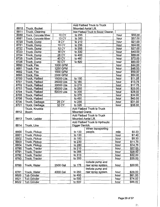|              |                                         |              |                      | <b>Add Flatbed Truck to Truck</b>   |      |         |
|--------------|-----------------------------------------|--------------|----------------------|-------------------------------------|------|---------|
| 8810<br>8811 | Truck, Bucket<br><b>Truck, Cleaning</b> |              |                      | Mounted Aerial Lift.                |      |         |
| 8680         |                                         | <b>10 CY</b> |                      | Add Flatbed Truck to Sewer Cleaner. | hour | \$58.00 |
| 8681         | Truck, Concrete Mixer                   | <b>13 CY</b> | to 255<br>to 300     |                                     |      | \$67.00 |
|              | Truck, Concrete Mixer                   | 8 CY         |                      |                                     | hour | \$21.00 |
| 8720<br>8721 | Truck, Dump                             |              | to 210               |                                     | hour |         |
|              | Truck, Dump                             | <b>10 CY</b> | to 235               |                                     | hour | \$24.00 |
| 8722         | Truck, Dump                             | <b>12 CY</b> | to 255               |                                     | hour | \$27.00 |
| 8723         | Truck, Dump                             | <b>18 CY</b> | to 330               |                                     | hour | \$40.00 |
| 8724         | Truck, Dump                             | <b>28 CY</b> | to 400               |                                     | hour | \$66.00 |
| 8725         | Truck, Dump                             | 40 CY        | to 460               |                                     | hour | \$72.00 |
| 8726         | Truck, Dump                             | 50 CY        | to 620               |                                     | hour | \$90.00 |
| 8690         | Truck, Fire                             | 1000 GPM     |                      |                                     | hour | \$44.00 |
| 8691         | Truck, Fire                             | 1250 GPM     |                      |                                     | hour | \$46.00 |
| 8692         | Truck, Fire                             | 1500 GPM     |                      |                                     | hour | \$59.00 |
| 8693         | Truck, Fire                             | 2000 GPM     |                      |                                     | hour | \$64.00 |
| 8700         | <b>Truck, Flatbed</b>                   | 15000 Lbs    | to 150               |                                     | hour | \$11.25 |
| 8701         | Truck, Flatbed                          | 25000 Lbs    | to 180               |                                     | hour | \$13.75 |
| 8702         | <b>Truck, Flatbed</b>                   | 30000 Lbs    | to 215               |                                     | hour | \$17.75 |
| 8703         | Truck, Flatbed                          | 45000 Lbs    | to 250               | à.                                  | hour | \$23.00 |
| 8704         | Truck, Flatbed                          | 50000 Lbs    | to 300               |                                     | hour | \$28.00 |
| 8705         | <b>Truck, Flatbed</b>                   |              | to 375               |                                     | hour | \$34.00 |
| 8706         | Truck, Flatbed                          |              | to 450               |                                     | hour | \$40.00 |
| 8730         | Truck, Garbage                          | 25 CY        | to 255               |                                     | hour | \$31.00 |
| 8731         | Truck, Garbage                          | 32 CY        | to 325               |                                     | hour | \$38.00 |
|              | Truck, Knuckle                          |              |                      | Add Flatbed Truck to Truck          |      |         |
| 8812         | <b>Boom</b>                             |              | Mounted Crane.       |                                     |      |         |
|              |                                         |              |                      | Add Flatbed Truck to Truck          |      |         |
| 8813         | Truck, Ladder                           |              | Mounted Aerial Lift. |                                     |      |         |
|              |                                         |              |                      | Add Flatbed Truck to Hydraulic      |      |         |
| 8814         | Truck, Line                             |              | Digger Derrick.      |                                     |      |         |
|              |                                         |              |                      | When transporting                   |      |         |
| 8800         | Truck, Pickup                           |              | to 130               | people.                             | mile | \$0.33  |
| 8801         | Truck, Pickup                           |              | to 130               |                                     | hour | \$7.40  |
| 8802         | Truck, Pickup                           |              | to 180               |                                     | hour | \$9.30  |
| 8803         | Truck, Pickup                           |              | to 230               |                                     | hour | \$11.75 |
| 8804         | Truck, Pickup                           |              | to 280               |                                     | hour | \$14.75 |
| 8790         | Truck, Tractor                          |              | to 210               |                                     | hour | \$22.QQ |
| 8791         | Truck, Tractor                          |              | to 265               |                                     | hour | \$28.50 |
| 8792         | Truck, Tractor                          |              | to 310               |                                     | hour | \$32.00 |
| 8793         | Truck, Tractor                          |              | to 350               |                                     | hour | \$35.00 |
|              |                                         |              |                      | Include pump and                    |      |         |
| 8780         | Truck, Water                            | 2500 Gal     | to 175               | rear spray system.                  | hour | \$20.50 |
|              |                                         |              |                      |                                     |      |         |
|              |                                         |              |                      | Include pump and                    |      |         |
| 8781         | Truck, Water                            | 4000 Gal     | to 250               | rear spray system.                  | hour | \$29.00 |
| 8620         | Tub Grinder                             |              | to 400               |                                     | hour | \$61.00 |
| 8621         | Tub Grinder                             |              | to 500               |                                     | hour | \$74.00 |
| 8622         | Tub Grinder                             |              | to 600               |                                     | hour | \$86.00 |

 $\overline{a}$ 

 $\overline{\phantom{a}}$ 

 $\bar{z}$ 

 $\overline{a}$ 

Page 29 of 37

 $\hat{\mathbf{z}}$ 

 $\hat{f}^{\prime\prime}_{\gamma\gamma\gamma}$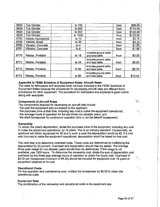| 8623 | <b>Tub Grinder</b>    | to 700  |                                          | hour | \$98.00  |
|------|-----------------------|---------|------------------------------------------|------|----------|
| 8624 | <b>Tub Grinder</b>    | to 800  |                                          | hour | \$110.00 |
| 8625 | <b>Tub Grinder</b>    | to 900  |                                          | hour | \$122.00 |
| 8626 | <b>Tub Grinder</b>    | to 1000 |                                          | hour | \$133.00 |
| 8753 | Vehicle, Recreational | to $10$ |                                          | hour | \$2.15   |
| 8750 | Vehicle, Small        | to 30   |                                          | hour | \$4.10   |
| 8760 | Vibrator, Concrete    | to $4$  |                                          | hour | \$1.00   |
| 8761 | Vibrator, Concrete    | to 8    |                                          | hour | \$1.95   |
| 8770 | Welder, Portable      | to $16$ | Includes ground cable<br>and lead cable. | hour | \$3.05   |
| 8771 | Welder, Portable      | to $34$ | Includes ground cable<br>and lead cable. | hour | \$6.20   |
| 8772 | Welder, Portable      | to 50   | Includes ground cable<br>and lead cable. | hour | \$8.70   |
| 8773 | Welder, Portable      | to 80   | Includes ground cable<br>and lead cable. | hour | \$12.50  |

#### Appendix to FEMA Schedule of Equipment Rates: Aircraft Rates

The rates for helicopters and airplanes have not been included in the FEMA Schedule of Equipment Rates because the procedures for developing aircraft rates are different from procedures for other equipment. The procedure for helicopters and airplanes is given below, along with examples.

#### Components of Aircraft Rates

The components required for developing an aircraft rate include:

- · the year the equipment was purchased by the applicant;
- · the purchase price at that time, including any cost to make the equipment operational;
- · the average hours of operation for the last three non-disaster years; and
- · the shaft horsepower for continuous operation (this is not the takeoff horsepower).

#### **Ownership**

To obtain the yearly depreciation, divide the purchase price of the equipment, including any cost to make the equipment operational, by 15 years. This is an industry standard. Occasionally, an applicant will obtain equipment for \$0 and in such a case the depreciation would be \$0. If a cost was incurred to make the equipment operational, depreciation would be based on that cost.

The next step is to determine overhead costs. These costs are determined by multiplying the depreciation by 25 percent. Overhead and depreciation should then be added. The average three-year usage for non-disaster years should then be determined. If this usage is not available, use 1200 hours. To determine the ownership cost, divide the sum of depreciation and overhead by the three-year average hours of operation to obtain the hourly cost. Overhead of \$0.02 per horsepower (minimum of \$4.00) should be included for equipment over 15 years or equipment obtained at no cost.

#### Operational Costs

For the operation and maintenance cost, multiply the horsepower by \$0.50 to obtain the operational costs. ·

#### Equipment Rate

The combination of the ownership and operational costs is the equipment rate.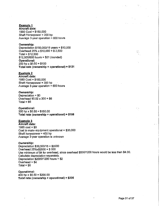#### Example 1

Aircraft data: 1990 Cost= \$150,000 Shaft Horsepower = 200 hp Average 3-year operation  $= 600$  hours

#### Ownership:

Depreciation \$150,000/15 years= \$10,000 Overhead 25% x \$10,060 = \$ 2,500  $Total = $12,500$ \$12,500/600 hours= \$21 (rounded) Operational:  $200$  hp x  $$0.50 = $100$ Total rate (ownership + operational) =  $$121$ 

#### Example 2

Aircraft data: 1980 Cost= \$150,000 Shaft Horsepower = 300 hp Average  $3$ -year operation = 600 hours

#### Ownership:

Depreciation = \$0 Overhead \$0.02 x 300 = \$6  $Total = $6$ 

#### Operational:

 $300$  hp x  $$0.50 = $150.00$ Total rate (ownership + operational) = \$166

#### Example 3

Aircraft data: 1985  $cost = $0$ Cost to make equipment operational = \$30,000 Shaft horsepower = 400 hp Average 3-year operation is unknown

#### Ownership:

Depreciation \$30,000/15 = \$2000 Overhead 25%x\$2000 = \$ 500 Use minimum of \$4 for overhead, since overhead \$500/1200 hours would be less than \$4.00. Calculate depreciation separately. Depreciation  $$2000/1200$  hours = \$2 Overhead  $= $4$ Total =  $$6$ 

Operational: 400 hp x  $$0.50 = $200.00$ Total rate (ownership + operational) = \$206  $\frac{\partial \mathcal{L}^2}{\partial x^2}$ 

去的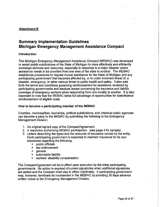## Attachment **E**

# **Summary Implementation Guidelines Michigan Emergency Management Assistance Compact**

#### Introduction

The Michigan Emergency Management Assistance Compact (MEMAC) was developed to assist public subdivisions of the State of Michigan to more effectively and efficiently exchange services and resources, especially in response to a major disaster where assistance needs to be provided from one area of the state to another. The MEMAC establishes procedures to request mutual assistance for the State of Michigan and any participating government that becomes affected by, or is under imminent threat of, a disaster, emergency, or other serious threat to public health and safety. It also sets forth the terms and conditions governing reimbursement for assistance rendered by participating governments and resolves issues concerning the insurance and liability coverage of emergency workers when responding from one locality to another. It is also important to note that the MEMAC takes full advantage of opportunities for state/federal reimbursement of eligible costs.

#### How to become a participating member of the **MEMAC**

Counties, municipalities, townships, political subdivisions, and interlocal public agencies can become a party to the MEMAC by submitting the following to the Emergency Management Division;

- 1. An original signed copy of the CompacVAgreement.
- 2. A resolution authorizing MEMAC participation. (see page 4 for sample)
- 3. Letters describing the types and the amounts of insurance carried by the entity. Each participating government is expected to maintain insurance for its own exposures regarding the following;
	- public officials
	- law enforcement
	- general
	- automobile liability
	- workers' disability compensation

The CompacVAgreement will be in effect upon execution by the initial participating governments. No action is required of current signatories when additional signatories are added and the Compact shall stay in effect indefinitely. A participating government may, however, terminate its involvement in the MEMAC by providing 30 days advance written notice to the Emergency Management Division.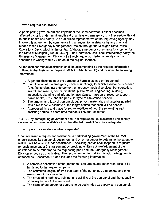#### How to request assistance

A participating government can implement the Compact when it either becomes affected by, or is under imminent threat of a disaster, emergency, or other serious threat to public health and safety. An authorized representative of the requesting agency may invoke this agreement by communicating a request for assistance by any practical means to the Emergency Management Division through the Michigan State Police Operations Desk, which is the central, 24-hour, emergency communications center for the State of Michigan [800.993.4677]. The Operations Desk shall immediately notify the Emergency Management Division of all such requests. Verbal requests shall be confirmed in writing within 24 hours of the original request.

All requests for mutual assistance shall be accompanied by the required information outlined in the Assistance Request (MEMAC Attachment B) and includes the following information:

- 1. A general description of the damage or harm sustained or threatened;
- 2. Identification of the emergency service function(s) for which assistance is needed (e.g. fire service, law enforcement, emergency medical services, transportation, search and rescue, communications, public works, engineering, building, inspection, planning and information assistance, mass care, resource support, public health, etc.), and the particular type of assistance needed;
- 3. The amount and type of personnel, equipment, materials, and supplies needed with a reasonable estimate of the length of time that each will be needed;
- 4. A proposed time and place for representatives of both the requesting and assisting parties to coordinate their activities and resources.

NOTE: Any participating government shall not request mutual assistance unless they determine resources available within the affected jurisdiction to be inadequate.

#### How to provide assistance when requested

Upon receiving a request for assistance, a participating government of the MEMAC should assess its personnel, equipment, and other resources to determine the extent to which it will be able to render assistance. Assisting parties shall respond to requests for assistance under this agreement by providing written acknowledgement of the assistance to be rendered to the requesting party and the Emergency Management Division as soon as practicable. The recommended format for this acknowledgment is attached as "Attachment C" and includes the following information:

- 1. A complete description of the personnel, equipment, and other resources to be furnished to the requesting party.
- 2. The estimated lengths of time that each of the personnel, equipment, and other resources will be available.
- 3. The areas of experience, training, and abilities of the personnel and the capability of the equipment to be furnished.
- 4. The name of the person or persons to be designated as supervisory personnel.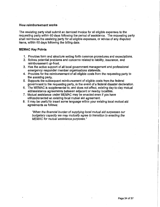#### **How reimbursement works**

The assisting party shall submit an itemized invoice for all eligible expenses to the requesting party within 60 days following the period of assistance. The requesting party shall reimburse the assisting party for all eligible expenses, or advise of any disputed items, within 60 days following the billing date.

#### **MEMAC Key Points**

- 1. Provides form and structure setting forth common procedures and expectations.
- 2. Solves potential problems and concerns related to liability, insurance, and reimbursement up-front.
- 3. Has the active support of all local government management and professional emergency responder member organizations statewide.
- 4. Provides for the reimbursement of all eligible costs from the requesting party to the assisting party.
- 5. Supports the subsequent reimbursement of eligible costs from the federal government to the requesting party, in the event of a federal disaster declaration.
- 6. The MEMAC is supplemental to, and does not affect, existing day-to-day mutual aid/assistance agreements between adjacent or nearby localities.
- 7. Mutual assistance under MEMAC may be enacted even if you have utilized/enacted an existing local mutual aid agreement.
- 8. It may be useful to insert some language within your existing local mutual aid agreements as follows:

"When the financial burden of supplying local mutual aid surpasses our budgetary capacity we may mutually agree to transition to enacting the MEMAC for mutual assistance purposes."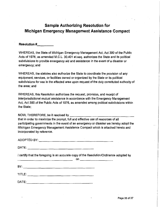# **Sample Authorizing Resolution for Michigan Emergency Management Assistance Compact**

**Resolution# \_\_\_ \_** 

WHEREAS, the State of Michigan Emergency Management Act, Act 390 of the Public Acts of 1976, as amended M.C.L. 30.401 et.seq. authorizes the State and its political subdivisions to provide emergency aid and assistance in the event of a disaster or emergency; and

WHEREAS, the statutes also authorize the State to coordinate the provision of any equipment, services, or facilities owned or organized by the State or its political subdivisions for use in the affected area upon request of the duly constituted authority of the area; and

WHEREAS, this Resolution authorizes the request, provision, and receipt of interjurisdictional mutual assistance in accordance with the Emergency Management Act, Act 390 of the Public Acts of 1976, as amended among political subdivisions within the State;

NOW, THEREFORE, be it resolved by  $\frac{1}{\sqrt{2}}$ 

that in order to maximize the prompt, full and effective use of resources of all participating governments in the event of an emergency or disaster we hereby adopt the Michigan Emergency Management Assistance Compact which is attached hereto and incorporated by reference.

ADOPTED BY: \_\_\_\_\_\_\_\_\_\_\_\_\_\_\_\_\_\_\_\_\_\_\_\_\_\_\_\_\_ \_\_

DATE: \_\_\_\_\_\_\_\_\_\_\_\_\_\_\_\_\_\_\_\_\_\_\_\_\_\_\_ \_\_\_

I certify that the foregoing is an accurate copy of the Resolution/Ordinance adopted by<br>on

|        |  | ------ |  |  |
|--------|--|--------|--|--|
|        |  |        |  |  |
| BY:    |  |        |  |  |
|        |  |        |  |  |
| TITLE: |  |        |  |  |
|        |  |        |  |  |

DATE: \_\_\_\_\_\_\_\_\_\_\_\_\_\_\_\_\_\_\_\_\_\_ \_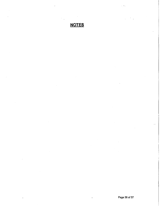# **NOTES**